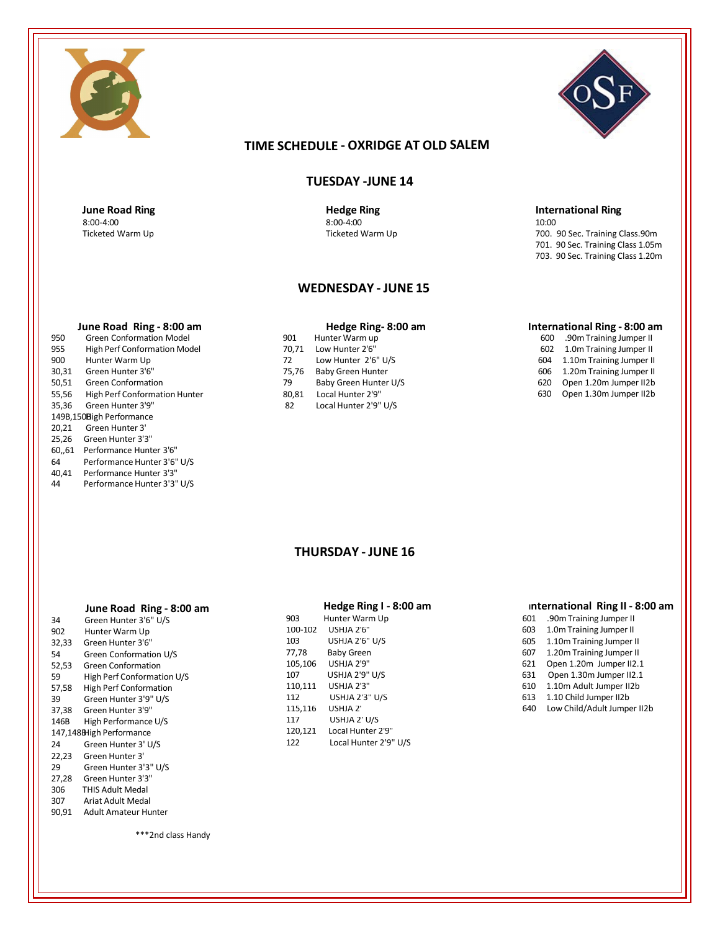



# **TIME SCHEDULE - OXRIDGE AT OLD SALEM**

## **TUESDAY -JUNE 14**

**June Road Ring CONSIDERING <b>RIGGER Hedge Ring** 8:00-4:00 8:00-4:00

### **WEDNESDAY - JUNE 15**

- 950 Green Conformation Model **Conformation Model 1988 1988** 901 Hunter Warm up 955 70,71 Low Hunter 2'6" High Perf Conformation Model 900 Hunter Warm Up 72 30,31 Green Hunter 3'6" 7 50,51 Green Conformation<br>55,56 High Perf Conformation Hunter 28 55,56 High Perf Conformation Hunter 31,556 High Perf Conformation Hunter 31 Green Hunter 3'9" 149B,150Bigh Performance 20,21 Green Hunter 3' 25,26 Green Hunter 3'3" 60,,61 Performance Hunter 3'6"
- 64 Performance Hunter 3'6" U/S
- 40,41 Performance Hunter 3'3"
- Performance Hunter 3'3" U/S

| June Road Ring - 8:00 am             |       | Hedge Ring-8:00 am       |
|--------------------------------------|-------|--------------------------|
| <b>Green Conformation Model</b>      | 901   | Hunter Warm up           |
| <b>High Perf Conformation Model</b>  | 70.71 | Low Hunter 2'6"          |
| Hunter Warm Up                       | 72    | Low Hunter 2'6" U/S      |
| Green Hunter 3'6"                    | 75.76 | <b>Baby Green Hunter</b> |
| <b>Green Conformation</b>            | 79    | Baby Green Hunter U/S    |
| <b>High Perf Conformation Hunter</b> | 80.81 | Local Hunter 2'9"        |
| Green Hunter 3'9"                    | 82    | Local Hunter 2'9" U/S    |
| EQDigh Dorformance                   |       |                          |

#### **International Ring - 8:00 am**

700. 90 Sec. Training Class.90m 701. 90 Sec. Training Class 1.05m 703. 90 Sec. Training Class 1.20m

**International Ring** 

10:00

 .90mTraining Jumper II 1.0m Training Jumper II 1.10m Training Jumper II 1.20m Training Jumper II Open 1.20m Jumper II2b Open 1.30m Jumper II2b

# **THURSDAY - JUNE 16**

#### **June Road Ring - 8:00 am**

| 34    | Green Hunter 3'6" U/S         | 903     | Hunter Warm Up        |
|-------|-------------------------------|---------|-----------------------|
| 902   | Hunter Warm Up                | 100-102 | USHJA 2'6"            |
| 32,33 | Green Hunter 3'6"             | 103     | <b>USHJA 2'6" U/S</b> |
| 54    | Green Conformation U/S        | 77,78   | <b>Baby Green</b>     |
| 52,53 | <b>Green Conformation</b>     | 105,106 | USHJA 2'9"            |
| 59    | High Perf Conformation U/S    | 107     | USHJA 2'9" U/S        |
| 57,58 | <b>High Perf Conformation</b> | 110,111 | USHJA 2'3"            |
| 39    | Green Hunter 3'9" U/S         | 112     | <b>USHJA 2'3" U/S</b> |
| 37,38 | Green Hunter 3'9"             | 115,116 | USHJA 2'              |
| 146B  | High Performance U/S          | 117     | USHJA 2' U/S          |
|       | 147,148BHigh Performance      | 120,121 | Local Hunter 2'9"     |
| 24    | Green Hunter 3' U/S           | 122     | Local Hunter 2'9'     |
| 22,23 | Green Hunter 3'               |         |                       |
| 29    | Green Hunter 3'3" U/S         |         |                       |
| 27,28 | Green Hunter 3'3"             |         |                       |
| 306   | <b>THIS Adult Medal</b>       |         |                       |
| 307   | Ariat Adult Medal             |         |                       |

90,91 Adult Amateur Hunter

|         | Hedge Ring I - 8:00 am |
|---------|------------------------|
| 903     | Hunter Warm Up         |
| 100-102 | USHIA 2'6"             |
| 103     | USHJA 2'6" U/S         |
| 77,78   | <b>Baby Green</b>      |
| 105,106 | USHJA 2'9"             |
| 107     | <b>USHJA 2'9" U/S</b>  |
| 110.111 | USHIA 2'3"             |
| 112     | USHJA 2'3" U/S         |
| 115,116 | USHJA 2'               |
| 117     | USHJA 2' U/S           |
| 120,121 | Local Hunter 2'9"      |
| 122     | Local Hunter 2'9" U/S  |

#### **International Ring II - 8:00 am**

- 601 .90mTraining Jumper II 603 1.0m Training Jumper II
- 605 1.10m Training Jumper II 607 1.20m Training Jumper II
- 621 Open 1.20m Jumper II2.1
- 631 Open 1.30m Jumper II2.1
- 610 1.10m Adult Jumper II2b
- 613 1.10 Child Jumper II2b
- 640 Low Child/Adult Jumper II2b

\*\*\*2nd class Handy